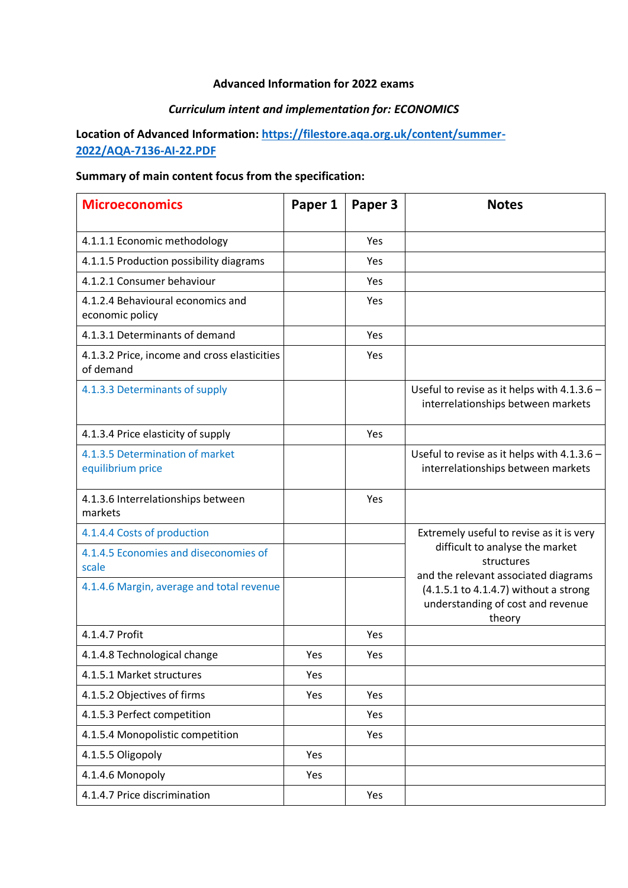## **Advanced Information for 2022 exams**

# *Curriculum intent and implementation for: ECONOMICS*

# **Location of Advanced Information: [https://filestore.aqa.org.uk/content/summer-](https://filestore.aqa.org.uk/content/summer-2022/AQA-7136-AI-22.PDF)[2022/AQA-7136-AI-22.PDF](https://filestore.aqa.org.uk/content/summer-2022/AQA-7136-AI-22.PDF)**

# **Summary of main content focus from the specification:**

| <b>Microeconomics</b>                                     | Paper 1 | Paper 3 | <b>Notes</b>                                                                          |
|-----------------------------------------------------------|---------|---------|---------------------------------------------------------------------------------------|
| 4.1.1.1 Economic methodology                              |         | Yes     |                                                                                       |
| 4.1.1.5 Production possibility diagrams                   |         | Yes     |                                                                                       |
| 4.1.2.1 Consumer behaviour                                |         | Yes     |                                                                                       |
| 4.1.2.4 Behavioural economics and<br>economic policy      |         | Yes     |                                                                                       |
| 4.1.3.1 Determinants of demand                            |         | Yes     |                                                                                       |
| 4.1.3.2 Price, income and cross elasticities<br>of demand |         | Yes     |                                                                                       |
| 4.1.3.3 Determinants of supply                            |         |         | Useful to revise as it helps with $4.1.3.6 -$<br>interrelationships between markets   |
| 4.1.3.4 Price elasticity of supply                        |         | Yes     |                                                                                       |
| 4.1.3.5 Determination of market<br>equilibrium price      |         |         | Useful to revise as it helps with 4.1.3.6 -<br>interrelationships between markets     |
| 4.1.3.6 Interrelationships between<br>markets             |         | Yes     |                                                                                       |
| 4.1.4.4 Costs of production                               |         |         | Extremely useful to revise as it is very                                              |
| 4.1.4.5 Economies and diseconomies of<br>scale            |         |         | difficult to analyse the market<br>structures<br>and the relevant associated diagrams |
| 4.1.4.6 Margin, average and total revenue                 |         |         | (4.1.5.1 to 4.1.4.7) without a strong<br>understanding of cost and revenue<br>theory  |
| 4.1.4.7 Profit                                            |         | Yes     |                                                                                       |
| 4.1.4.8 Technological change                              | Yes     | Yes     |                                                                                       |
| 4.1.5.1 Market structures                                 | Yes     |         |                                                                                       |
| 4.1.5.2 Objectives of firms                               | Yes     | Yes     |                                                                                       |
| 4.1.5.3 Perfect competition                               |         | Yes     |                                                                                       |
| 4.1.5.4 Monopolistic competition                          |         | Yes     |                                                                                       |
| 4.1.5.5 Oligopoly                                         | Yes     |         |                                                                                       |
| 4.1.4.6 Monopoly                                          | Yes     |         |                                                                                       |
| 4.1.4.7 Price discrimination                              |         | Yes     |                                                                                       |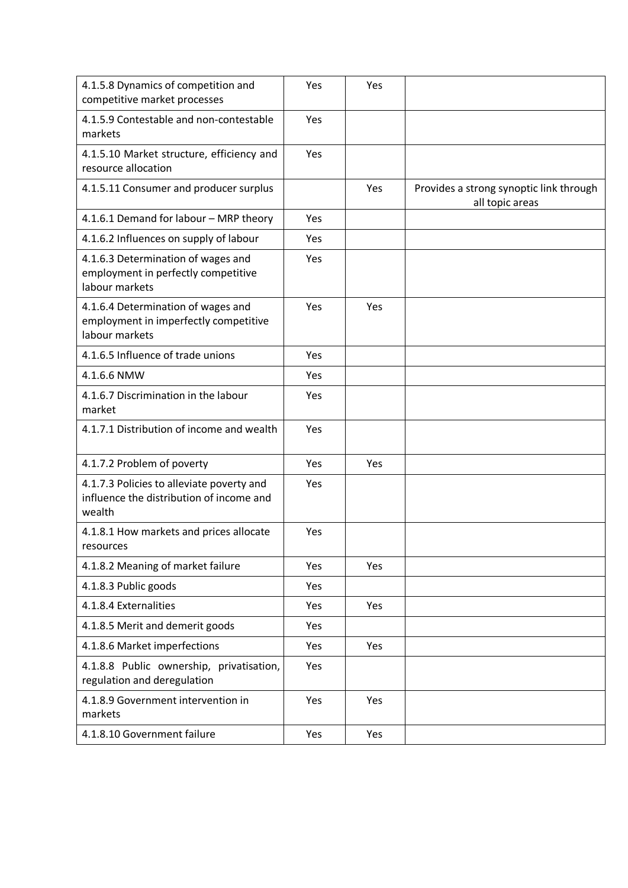| 4.1.5.8 Dynamics of competition and<br>competitive market processes                             | Yes | Yes |                                                            |
|-------------------------------------------------------------------------------------------------|-----|-----|------------------------------------------------------------|
| 4.1.5.9 Contestable and non-contestable<br>markets                                              | Yes |     |                                                            |
| 4.1.5.10 Market structure, efficiency and<br>resource allocation                                | Yes |     |                                                            |
| 4.1.5.11 Consumer and producer surplus                                                          |     | Yes | Provides a strong synoptic link through<br>all topic areas |
| 4.1.6.1 Demand for labour - MRP theory                                                          | Yes |     |                                                            |
| 4.1.6.2 Influences on supply of labour                                                          | Yes |     |                                                            |
| 4.1.6.3 Determination of wages and<br>employment in perfectly competitive<br>labour markets     | Yes |     |                                                            |
| 4.1.6.4 Determination of wages and<br>employment in imperfectly competitive<br>labour markets   | Yes | Yes |                                                            |
| 4.1.6.5 Influence of trade unions                                                               | Yes |     |                                                            |
| 4.1.6.6 NMW                                                                                     | Yes |     |                                                            |
| 4.1.6.7 Discrimination in the labour<br>market                                                  | Yes |     |                                                            |
| 4.1.7.1 Distribution of income and wealth                                                       | Yes |     |                                                            |
| 4.1.7.2 Problem of poverty                                                                      | Yes | Yes |                                                            |
| 4.1.7.3 Policies to alleviate poverty and<br>influence the distribution of income and<br>wealth | Yes |     |                                                            |
| 4.1.8.1 How markets and prices allocate<br>resources                                            | Yes |     |                                                            |
| 4.1.8.2 Meaning of market failure                                                               | Yes | Yes |                                                            |
| 4.1.8.3 Public goods                                                                            | Yes |     |                                                            |
| 4.1.8.4 Externalities                                                                           | Yes | Yes |                                                            |
| 4.1.8.5 Merit and demerit goods                                                                 | Yes |     |                                                            |
| 4.1.8.6 Market imperfections                                                                    | Yes | Yes |                                                            |
| 4.1.8.8 Public ownership, privatisation,<br>regulation and deregulation                         | Yes |     |                                                            |
| 4.1.8.9 Government intervention in<br>markets                                                   | Yes | Yes |                                                            |
| 4.1.8.10 Government failure                                                                     | Yes | Yes |                                                            |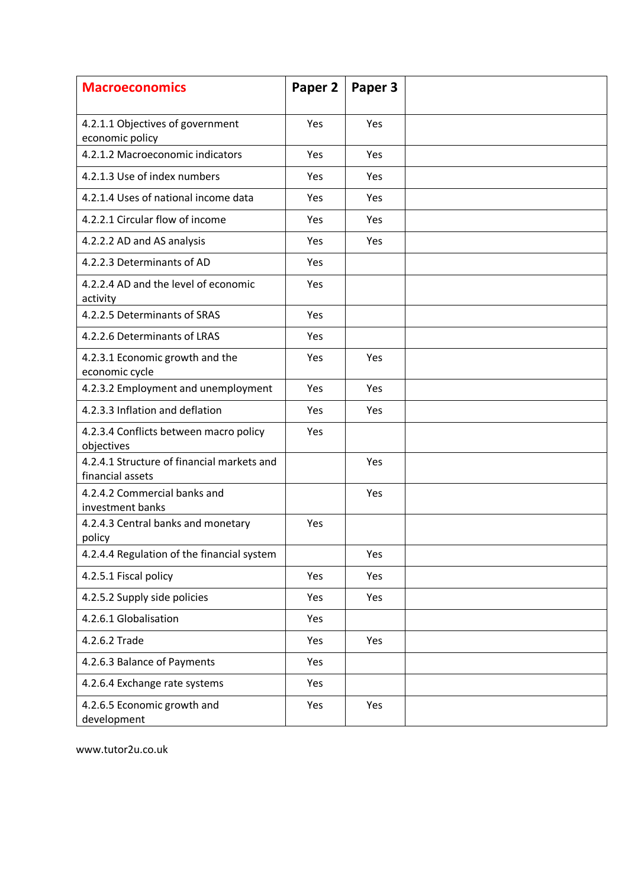| <b>Macroeconomics</b>                                          | Paper 2 | Paper 3 |  |
|----------------------------------------------------------------|---------|---------|--|
| 4.2.1.1 Objectives of government<br>economic policy            | Yes     | Yes     |  |
| 4.2.1.2 Macroeconomic indicators                               | Yes     | Yes     |  |
| 4.2.1.3 Use of index numbers                                   | Yes     | Yes     |  |
| 4.2.1.4 Uses of national income data                           | Yes     | Yes     |  |
| 4.2.2.1 Circular flow of income                                | Yes     | Yes     |  |
| 4.2.2.2 AD and AS analysis                                     | Yes     | Yes     |  |
| 4.2.2.3 Determinants of AD                                     | Yes     |         |  |
| 4.2.2.4 AD and the level of economic<br>activity               | Yes     |         |  |
| 4.2.2.5 Determinants of SRAS                                   | Yes     |         |  |
| 4.2.2.6 Determinants of LRAS                                   | Yes     |         |  |
| 4.2.3.1 Economic growth and the<br>economic cycle              | Yes     | Yes     |  |
| 4.2.3.2 Employment and unemployment                            | Yes     | Yes     |  |
| 4.2.3.3 Inflation and deflation                                | Yes     | Yes     |  |
| 4.2.3.4 Conflicts between macro policy<br>objectives           | Yes     |         |  |
| 4.2.4.1 Structure of financial markets and<br>financial assets |         | Yes     |  |
| 4.2.4.2 Commercial banks and<br>investment banks               |         | Yes     |  |
| 4.2.4.3 Central banks and monetary<br>policy                   | Yes     |         |  |
| 4.2.4.4 Regulation of the financial system                     |         | Yes     |  |
| 4.2.5.1 Fiscal policy                                          | Yes     | Yes     |  |
| 4.2.5.2 Supply side policies                                   | Yes     | Yes     |  |
| 4.2.6.1 Globalisation                                          | Yes     |         |  |
| 4.2.6.2 Trade                                                  | Yes     | Yes     |  |
| 4.2.6.3 Balance of Payments                                    | Yes     |         |  |
| 4.2.6.4 Exchange rate systems                                  | Yes     |         |  |
| 4.2.6.5 Economic growth and<br>development                     | Yes     | Yes     |  |

www.tutor2u.co.uk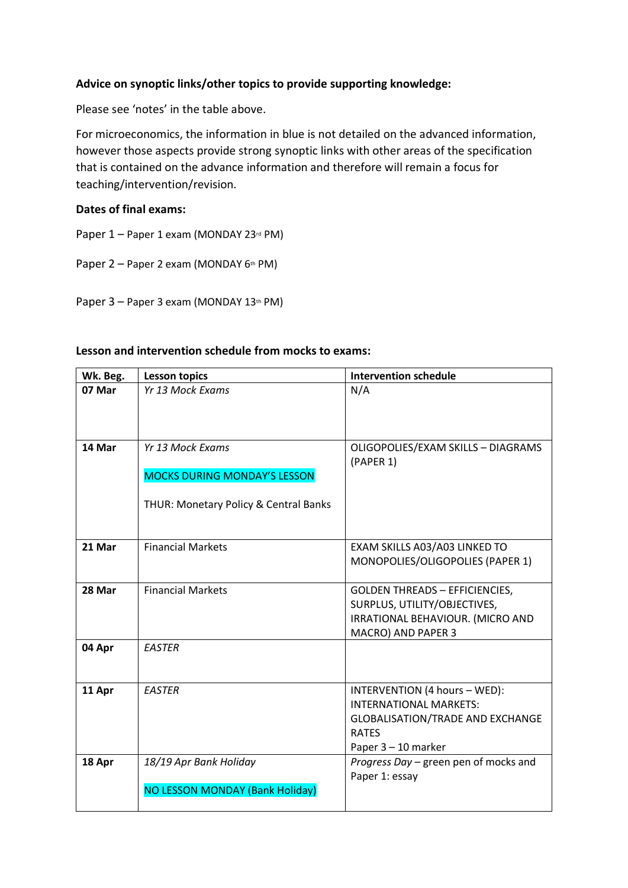### **Advice on synoptic links/other topics to provide supporting knowledge:**

Please see 'notes' in the table above.

For microeconomics, the information in blue is not detailed on the advanced information, however those aspects provide strong synoptic links with other areas of the specification that is contained on the advance information and therefore will remain a focus for teaching/intervention/revision.

#### **Dates of final exams:**

Paper 1 – Paper 1 exam (MONDAY 23rd PM)

Paper 2 – Paper 2 exam (MONDAY 6th PM)

Paper 3 – Paper 3 exam (MONDAY 13<sup>th</sup> PM)

| Wk. Beg. | <b>Lesson topics</b>                                                                             | <b>Intervention schedule</b>                                                                                                                     |
|----------|--------------------------------------------------------------------------------------------------|--------------------------------------------------------------------------------------------------------------------------------------------------|
| 07 Mar   | Yr 13 Mock Exams                                                                                 | N/A                                                                                                                                              |
| 14 Mar   | Yr 13 Mock Exams<br><b>MOCKS DURING MONDAY'S LESSON</b><br>THUR: Monetary Policy & Central Banks | OLIGOPOLIES/EXAM SKILLS - DIAGRAMS<br>(PAPER 1)                                                                                                  |
| 21 Mar   | <b>Financial Markets</b>                                                                         | EXAM SKILLS A03/A03 LINKED TO<br>MONOPOLIES/OLIGOPOLIES (PAPER 1)                                                                                |
| 28 Mar   | <b>Financial Markets</b>                                                                         | <b>GOLDEN THREADS - EFFICIENCIES,</b><br>SURPLUS, UTILITY/OBJECTIVES,<br>IRRATIONAL BEHAVIOUR. (MICRO AND<br>MACRO) AND PAPER 3                  |
| 04 Apr   | <b>EASTER</b>                                                                                    |                                                                                                                                                  |
| 11 Apr   | <b>EASTER</b>                                                                                    | INTERVENTION (4 hours - WED):<br><b>INTERNATIONAL MARKETS:</b><br><b>GLOBALISATION/TRADE AND EXCHANGE</b><br><b>RATES</b><br>Paper 3 - 10 marker |
| 18 Apr   | 18/19 Apr Bank Holiday<br><b>NO LESSON MONDAY (Bank Holiday)</b>                                 | Progress Day - green pen of mocks and<br>Paper 1: essay                                                                                          |

## **Lesson and intervention schedule from mocks to exams:**